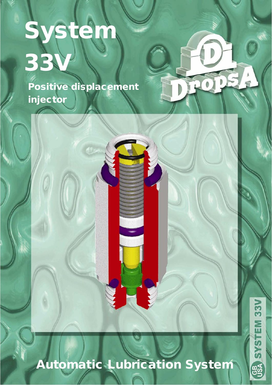# System 33V

Positive displacement injector

## Automatic Lubrication System

 $33<sub>W</sub>$ SYSTEM **GB** 

 $\begin{matrix} \end{matrix}$